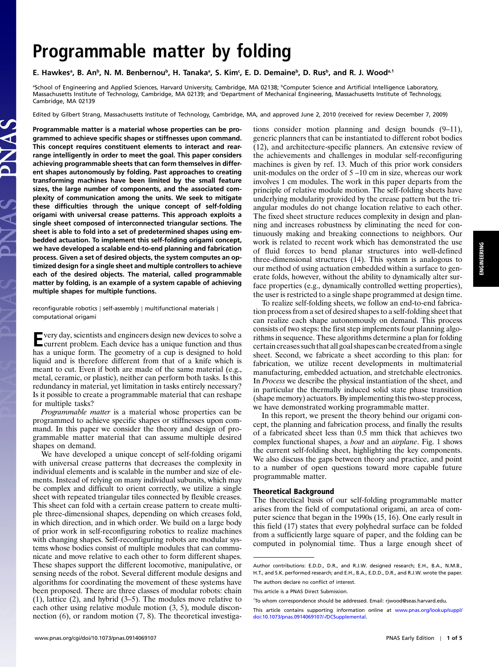# Programmable matter by folding

E. Hawkes<sup>a</sup>, B. An<sup>b</sup>, N. M. Benbernou<sup>b</sup>, H. Tanaka<sup>a</sup>, S. Kim<sup>c</sup>, E. D. Demaine<sup>b</sup>, D. Rus<sup>b</sup>, and R. J. Wood<sup>a,1</sup>

°School of Engineering and Applied Sciences, Harvard University, Cambridge, MA 02138; <sup>b</sup>Computer Science and Artificial Intelligence Laboratory, Massachusetts Institute of Technology, Cambridge, MA 02139; and 'Department of Mechanical Engineering, Massachusetts Institute of Technology, Cambridge, MA 02139

Edited by Gilbert Strang, Massachusetts Institute of Technology, Cambridge, MA, and approved June 2, 2010 (received for review December 7, 2009)

Programmable matter is a material whose properties can be programmed to achieve specific shapes or stiffnesses upon command. This concept requires constituent elements to interact and rearrange intelligently in order to meet the goal. This paper considers achieving programmable sheets that can form themselves in different shapes autonomously by folding. Past approaches to creating transforming machines have been limited by the small feature sizes, the large number of components, and the associated complexity of communication among the units. We seek to mitigate these difficulties through the unique concept of self-folding origami with universal crease patterns. This approach exploits a single sheet composed of interconnected triangular sections. The sheet is able to fold into a set of predetermined shapes using embedded actuation. To implement this self-folding origami concept, we have developed a scalable end-to-end planning and fabrication process. Given a set of desired objects, the system computes an optimized design for a single sheet and multiple controllers to achieve each of the desired objects. The material, called programmable matter by folding, is an example of a system capable of achieving multiple shapes for multiple functions.

reconfigurable robotics ∣ self-assembly ∣ multifunctional materials ∣ computational origami

Every day, scientists and engineers design new devices to solve a current problem. Each device has a unique function and thus has a unique form. The geometry of a cup is designed to hold liquid and is therefore different from that of a knife which is meant to cut. Even if both are made of the same material (e.g., metal, ceramic, or plastic), neither can perform both tasks. Is this redundancy in material, yet limitation in tasks entirely necessary? Is it possible to create a programmable material that can reshape for multiple tasks?

Programmable matter is a material whose properties can be programmed to achieve specific shapes or stiffnesses upon command. In this paper we consider the theory and design of programmable matter material that can assume multiple desired shapes on demand.

We have developed a unique concept of self-folding origami with universal crease patterns that decreases the complexity in individual elements and is scalable in the number and size of elements. Instead of relying on many individual subunits, which may be complex and difficult to orient correctly, we utilize a single sheet with repeated triangular tiles connected by flexible creases. This sheet can fold with a certain crease pattern to create multiple three-dimensional shapes, depending on which creases fold, in which direction, and in which order. We build on a large body of prior work in self-reconfiguring robotics to realize machines with changing shapes. Self-reconfiguring robots are modular systems whose bodies consist of multiple modules that can communicate and move relative to each other to form different shapes. These shapes support the different locomotive, manipulative, or sensing needs of the robot. Several different module designs and algorithms for coordinating the movement of these systems have been proposed. There are three classes of modular robots: chain (1), lattice (2), and hybrid (3–5). The modules move relative to each other using relative module motion  $(3, 5)$ , module disconnection (6), or random motion (7, 8). The theoretical investigations consider motion planning and design bounds (9–11), generic planners that can be instantiated to different robot bodies (12), and architecture-specific planners. An extensive review of the achievements and challenges in modular self-reconfiguring machines is given by ref. 13. Much of this prior work considers unit-modules on the order of 5 –10 cm in size, whereas our work involves 1 cm modules. The work in this paper departs from the principle of relative module motion. The self-folding sheets have underlying modularity provided by the crease pattern but the triangular modules do not change location relative to each other. The fixed sheet structure reduces complexity in design and planning and increases robustness by eliminating the need for continuously making and breaking connections to neighbors. Our work is related to recent work which has demonstrated the use of fluid forces to bend planar structures into well-defined three-dimensional structures (14). This system is analogous to our method of using actuation embedded within a surface to generate folds, however, without the ability to dynamically alter surface properties (e.g., dynamically controlled wetting properties), the user is restricted to a single shape programmed at design time.

To realize self-folding sheets, we follow an end-to-end fabrication process from a set of desired shapes to a self-folding sheet that can realize each shape autonomously on demand. This process consists of two steps: the first step implements four planning algorithms in sequence. These algorithms determine a plan for folding certain creases such that all goal shapes can be created from a single sheet. Second, we fabricate a sheet according to this plan: for fabrication, we utilize recent developments in multimaterial manufacturing, embedded actuation, and stretchable electronics. In Process we describe the physical instantiation of the sheet, and in particular the thermally induced solid state phase transition (shape memory) actuators. By implementing this two-step process, we have demonstrated working programmable matter.

In this report, we present the theory behind our origami concept, the planning and fabrication process, and finally the results of a fabricated sheet less than 0.5 mm thick that achieves two complex functional shapes, a *boat* and an *airplane*. Fig. 1 shows the current self-folding sheet, highlighting the key components. We also discuss the gaps between theory and practice, and point to a number of open questions toward more capable future programmable matter.

## Theoretical Background

The theoretical basis of our self-folding programmable matter arises from the field of computational origami, an area of computer science that began in the 1990s (15, 16). One early result in this field (17) states that every polyhedral surface can be folded from a sufficiently large square of paper, and the folding can be computed in polynomial time. Thus a large enough sheet of

Author contributions: E.D.D., D.R., and R.J.W. designed research; E.H., B.A., N.M.B., H.T., and S.K. performed research; and E.H., B.A., E.D.D., D.R., and R.J.W. wrote the paper.

The authors declare no conflict of interest.

This article is a PNAS Direct Submission.

<sup>1</sup> To whom correspondence should be addressed. Email: rjwood@seas.harvard.edu.

This article contains supporting information online at [www.pnas.org/lookup/suppl/](http://www.pnas.org/lookup/suppl/doi:10.1073/pnas.0914069107/-/DCSupplemental) [doi:10.1073/pnas.0914069107/-/DCSupplemental.](http://www.pnas.org/lookup/suppl/doi:10.1073/pnas.0914069107/-/DCSupplemental)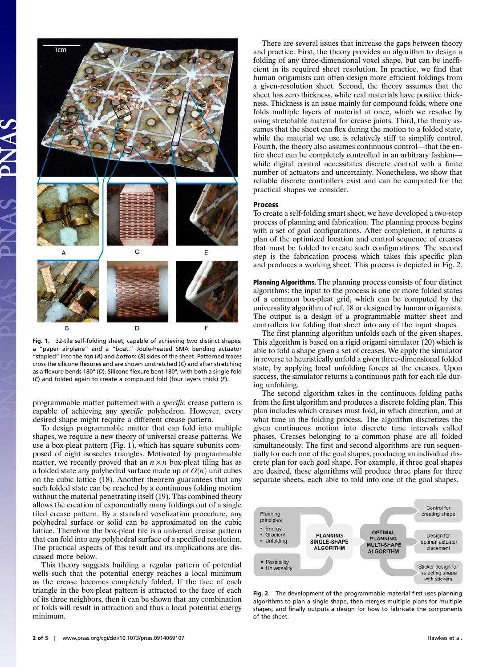

Fig. 1. 32-tile self-folding sheet, capable of achieving two distinct shapes: a "paper airplane" and a "boat." Joule-heated SMA bending actuator "stapled" into the top  $(A)$  and bottom  $(B)$  sides of the sheet. Patterned traces cross the silicone flexures and are shown unstretched (C) and after stretching as a flexure bends 180° (D). Silicone flexure bent 180°, with both a single fold (E) and folded again to create a compound fold (four layers thick) (F).

programmable matter patterned with a specific crease pattern is capable of achieving any specific polyhedron. However, every desired shape might require a different crease pattern.

To design programmable matter that can fold into multiple shapes, we require a new theory of universal crease patterns. We use a box-pleat pattern (Fig. 1), which has square subunits composed of eight isosceles triangles. Motivated by programmable matter, we recently proved that an  $n \times n$  box-pleat tiling has as a folded state any polyhedral surface made up of  $O(n)$  unit cubes on the cubic lattice (18). Another theorem guarantees that any such folded state can be reached by a continuous folding motion without the material penetrating itself (19). This combined theory allows the creation of exponentially many foldings out of a single tiled crease pattern. By a standard voxelization procedure, any polyhedral surface or solid can be approximated on the cubic lattice. Therefore the box-pleat tile is a universal crease pattern that can fold into any polyhedral surface of a specified resolution. The practical aspects of this result and its implications are discussed more below.

This theory suggests building a regular pattern of potential wells such that the potential energy reaches a local minimum as the crease becomes completely folded. If the face of each triangle in the box-pleat pattern is attracted to the face of each of its three neighbors, then it can be shown that any combination of folds will result in attraction and thus a local potential energy minimum.

There are several issues that increase the gaps between theory and practice. First, the theory provides an algorithm to design a folding of any three-dimensional voxel shape, but can be inefficient in its required sheet resolution. In practice, we find that human origamists can often design more efficient foldings from a given-resolution sheet. Second, the theory assumes that the sheet has zero thickness, while real materials have positive thickness. Thickness is an issue mainly for compound folds, where one folds multiple layers of material at once, which we resolve by using stretchable material for crease joints. Third, the theory assumes that the sheet can flex during the motion to a folded state, while the material we use is relatively stiff to simplify control. Fourth, the theory also assumes continuous control—that the entire sheet can be completely controlled in an arbitrary fashion while digital control necessitates discrete control with a finite number of actuators and uncertainty. Nonetheless, we show that reliable discrete controllers exist and can be computed for the practical shapes we consider.

## Process

To create a self-folding smart sheet, we have developed a two-step process of planning and fabrication. The planning process begins with a set of goal configurations. After completion, it returns a plan of the optimized location and control sequence of creases that must be folded to create such configurations. The second step is the fabrication process which takes this specific plan and produces a working sheet. This process is depicted in Fig. 2.

Planning Algorithms. The planning process consists of four distinct algorithms: the input to the process is one or more folded states of a common box-pleat grid, which can be computed by the universality algorithm of ref. 18 or designed by human origamists. The output is a design of a programmable matter sheet and controllers for folding that sheet into any of the input shapes.

The first planning algorithm unfolds each of the given shapes. This algorithm is based on a rigid origami simulator (20) which is able to fold a shape given a set of creases. We apply the simulator in reverse to heuristically unfold a given three-dimensional folded state, by applying local unfolding forces at the creases. Upon success, the simulator returns a continuous path for each tile during unfolding.

The second algorithm takes in the continuous folding paths from the first algorithm and produces a discrete folding plan. This plan includes which creases must fold, in which direction, and at what time in the folding process. The algorithm discretizes the given continuous motion into discrete time intervals called phases. Creases belonging to a common phase are all folded simultaneously. The first and second algorithms are run sequentially for each one of the goal shapes, producing an individual discrete plan for each goal shape. For example, if three goal shapes are desired, these algorithms will produce three plans for three separate sheets, each able to fold into one of the goal shapes.



Fig. 2. The development of the programmable material first uses planning algorithms to plan a single shape, then merges multiple plans for multiple shapes, and finally outputs a design for how to fabricate the components of the sheet.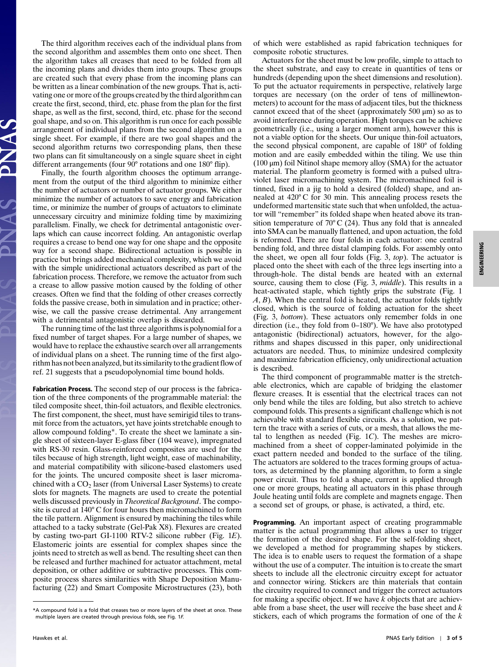The third algorithm receives each of the individual plans from the second algorithm and assembles them onto one sheet. Then the algorithm takes all creases that need to be folded from all the incoming plans and divides them into groups. These groups are created such that every phase from the incoming plans can be written as a linear combination of the new groups. That is, activating one or more of the groups created by the third algorithm can create the first, second, third, etc. phase from the plan for the first shape, as well as the first, second, third, etc. phase for the second goal shape, and so on. This algorithm is run once for each possible arrangement of individual plans from the second algorithm on a single sheet. For example, if there are two goal shapes and the second algorithm returns two corresponding plans, then these two plans can fit simultaneously on a single square sheet in eight different arrangements (four 90° rotations and one 180° flip).

Finally, the fourth algorithm chooses the optimum arrangement from the output of the third algorithm to minimize either the number of actuators or number of actuator groups. We either minimize the number of actuators to save energy and fabrication time, or minimize the number of groups of actuators to eliminate unnecessary circuitry and minimize folding time by maximizing parallelism. Finally, we check for detrimental antagonistic overlaps which can cause incorrect folding. An antagonistic overlap requires a crease to bend one way for one shape and the opposite way for a second shape. Bidirectional actuation is possible in practice but brings added mechanical complexity, which we avoid with the simple unidirectional actuators described as part of the fabrication process. Therefore, we remove the actuator from such a crease to allow passive motion caused by the folding of other creases. Often we find that the folding of other creases correctly folds the passive crease, both in simulation and in practice; otherwise, we call the passive crease detrimental. Any arrangement with a detrimental antagonistic overlap is discarded.

The running time of the last three algorithms is polynomial for a fixed number of target shapes. For a large number of shapes, we would have to replace the exhaustive search over all arrangements of individual plans on a sheet. The running time of the first algorithm has not been analyzed, butits similarity to the gradient flow of ref. 21 suggests that a pseudopolynomial time bound holds.

Fabrication Process. The second step of our process is the fabrication of the three components of the programmable material: the tiled composite sheet, thin-foil actuators, and flexible electronics. The first component, the sheet, must have semirigid tiles to transmit force from the actuators, yet have joints stretchable enough to allow compound folding\*. To create the sheet we laminate a single sheet of sixteen-layer E-glass fiber (104 weave), impregnated with RS-30 resin. Glass-reinforced composites are used for the tiles because of high strength, light weight, ease of machinability, and material compatibility with silicone-based elastomers used for the joints. The uncured composite sheet is laser micromachined with a CO*<sup>2</sup>* laser (from Universal Laser Systems) to create slots for magnets. The magnets are used to create the potential wells discussed previously in *Theoretical Background*. The composite is cured at 140° C for four hours then micromachined to form the tile pattern. Alignment is ensured by machining the tiles while attached to a tacky substrate (Gel-Pak X8). Flexures are created by casting two-part GI-1100 RTV-2 silicone rubber (Fig. 1E). Elastomeric joints are essential for complex shapes since the joints need to stretch as well as bend. The resulting sheet can then be released and further machined for actuator attachment, metal deposition, or other additive or subtractive processes. This composite process shares similarities with Shape Deposition Manufacturing (22) and Smart Composite Microstructures (23), both of which were established as rapid fabrication techniques for composite robotic structures.

Actuators for the sheet must be low profile, simple to attach to the sheet substrate, and easy to create in quantities of tens or hundreds (depending upon the sheet dimensions and resolution). To put the actuator requirements in perspective, relatively large torques are necessary (on the order of tens of millinewtonmeters) to account for the mass of adjacent tiles, but the thickness cannot exceed that of the sheet (approximately 500 μm) so as to avoid interference during operation. High torques can be achieve geometrically (i.e., using a larger moment arm), however this is not a viable option for the sheets. Our unique thin-foil actuators, the second physical component, are capable of 180° of folding motion and are easily embedded within the tiling. We use thin (100 μm) foil Nitinol shape memory alloy (SMA) for the actuator material. The planform geometry is formed with a pulsed ultraviolet laser micromachining system. The micromachined foil is tinned, fixed in a jig to hold a desired (folded) shape, and annealed at 420° C for 30 min. This annealing process resets the undeformed martensitic state such that when unfolded, the actuator will "remember" its folded shape when heated above its transition temperature of  $70^{\circ}$  C (24). Thus any fold that is annealed into SMA can be manually flattened, and upon actuation, the fold is reformed. There are four folds in each actuator: one central bending fold, and three distal clamping folds. For assembly onto the sheet, we open all four folds (Fig. 3, top). The actuator is placed onto the sheet with each of the three legs inserting into a through-hole. The distal bends are heated with an external source, causing them to close (Fig. 3, middle). This results in a heat-activated staple, which tightly grips the substrate (Fig. 1  $A, B$ ). When the central fold is heated, the actuator folds tightly closed, which is the source of folding actuation for the sheet (Fig. 3, bottom). These actuators only remember folds in one direction (i.e., they fold from 0–180°). We have also prototyped antagonistic (bidirectional) actuators, however, for the algorithms and shapes discussed in this paper, only unidirectional actuators are needed. Thus, to minimize undesired complexity and maximize fabrication efficiency, only unidirectional actuation is described.

The third component of programmable matter is the stretchable electronics, which are capable of bridging the elastomer flexure creases. It is essential that the electrical traces can not only bend while the tiles are folding, but also stretch to achieve compound folds. This presents a significant challenge which is not achievable with standard flexible circuits. As a solution, we pattern the trace with a series of cuts, or a mesh, that allows the metal to lengthen as needed (Fig.  $1C$ ). The meshes are micromachined from a sheet of copper-laminated polyimide in the exact pattern needed and bonded to the surface of the tiling. The actuators are soldered to the traces forming groups of actuators, as determined by the planning algorithm, to form a single power circuit. Thus to fold a shape, current is applied through one or more groups, heating all actuators in this phase through Joule heating until folds are complete and magnets engage. Then a second set of groups, or phase, is activated, a third, etc.

Programming. An important aspect of creating programmable matter is the actual programming that allows a user to trigger the formation of the desired shape. For the self-folding sheet, we developed a method for programming shapes by stickers. The idea is to enable users to request the formation of a shape without the use of a computer. The intuition is to create the smart sheets to include all the electronic circuitry except for actuator and connector wiring. Stickers are thin materials that contain the circuitry required to connect and trigger the correct actuators for making a specific object. If we have k objects that are achievable from a base sheet, the user will receive the base sheet and  $k$ stickers, each of which programs the formation of one of the  $k$ 

<sup>\*</sup>A compound fold is a fold that creases two or more layers of the sheet at once. These multiple layers are created through previous folds, see Fig. 1F.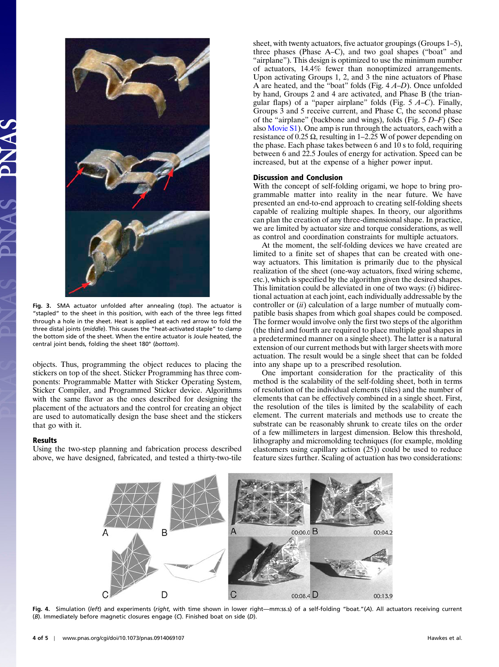

Fig. 3. SMA actuator unfolded after annealing (top). The actuator is "stapled" to the sheet in this position, with each of the three legs fitted through a hole in the sheet. Heat is applied at each red arrow to fold the three distal joints (middle). This causes the "heat-activated staple" to clamp the bottom side of the sheet. When the entire actuator is Joule heated, the central joint bends, folding the sheet 180° (bottom).

objects. Thus, programming the object reduces to placing the stickers on top of the sheet. Sticker Programming has three components: Programmable Matter with Sticker Operating System, Sticker Compiler, and Programmed Sticker device. Algorithms with the same flavor as the ones described for designing the placement of the actuators and the control for creating an object are used to automatically design the base sheet and the stickers that go with it.

### Results

Using the two-step planning and fabrication process described above, we have designed, fabricated, and tested a thirty-two-tile

sheet, with twenty actuators, five actuator groupings (Groups 1–5), three phases (Phase A–C), and two goal shapes ("boat" and "airplane"). This design is optimized to use the minimum number of actuators, 14.4% fewer than nonoptimized arrangements. Upon activating Groups 1, 2, and 3 the nine actuators of Phase A are heated, and the "boat" folds (Fig.  $4A-D$ ). Once unfolded by hand, Groups 2 and 4 are activated, and Phase B (the triangular flaps) of a "paper airplane" folds (Fig.  $5 A-C$ ). Finally, Groups 3 and 5 receive current, and Phase C, the second phase of the "airplane" (backbone and wings), folds (Fig. 5 <sup>D</sup>–F) (See also [Movie S1](http://www.pnas.org/lookup/suppl/doi:10.1073/pnas.0914069107/-/DCSupplemental/pnas.0914069107_SI.pdf?targetid=SM1)). One amp is run through the actuators, each with a resistance of 0.25 Ω, resulting in 1–2.25 W of power depending on the phase. Each phase takes between 6 and 10 s to fold, requiring between 6 and 22.5 Joules of energy for activation. Speed can be increased, but at the expense of a higher power input.

#### Discussion and Conclusion

With the concept of self-folding origami, we hope to bring programmable matter into reality in the near future. We have presented an end-to-end approach to creating self-folding sheets capable of realizing multiple shapes. In theory, our algorithms can plan the creation of any three-dimensional shape. In practice, we are limited by actuator size and torque considerations, as well as control and coordination constraints for multiple actuators.

At the moment, the self-folding devices we have created are limited to a finite set of shapes that can be created with oneway actuators. This limitation is primarily due to the physical realization of the sheet (one-way actuators, fixed wiring scheme, etc.), which is specified by the algorithm given the desired shapes. This limitation could be alleviated in one of two ways: (i) bidirectional actuation at each joint, each individually addressable by the controller or  $(ii)$  calculation of a large number of mutually compatible basis shapes from which goal shapes could be composed. The former would involve only the first two steps of the algorithm (the third and fourth are required to place multiple goal shapes in a predetermined manner on a single sheet). The latter is a natural extension of our current methods but with larger sheets with more actuation. The result would be a single sheet that can be folded into any shape up to a prescribed resolution.

One important consideration for the practicality of this method is the scalability of the self-folding sheet, both in terms of resolution of the individual elements (tiles) and the number of elements that can be effectively combined in a single sheet. First, the resolution of the tiles is limited by the scalability of each element. The current materials and methods use to create the substrate can be reasonably shrunk to create tiles on the order of a few millimeters in largest dimension. Below this threshold, lithography and micromolding techniques (for example, molding elastomers using capillary action (25)) could be used to reduce feature sizes further. Scaling of actuation has two considerations:



Fig. 4. Simulation (left) and experiments (right, with time shown in lower right—mm:ss.s) of a self-folding "boat."(A). All actuators receiving current (B). Immediately before magnetic closures engage (C). Finished boat on side (D).